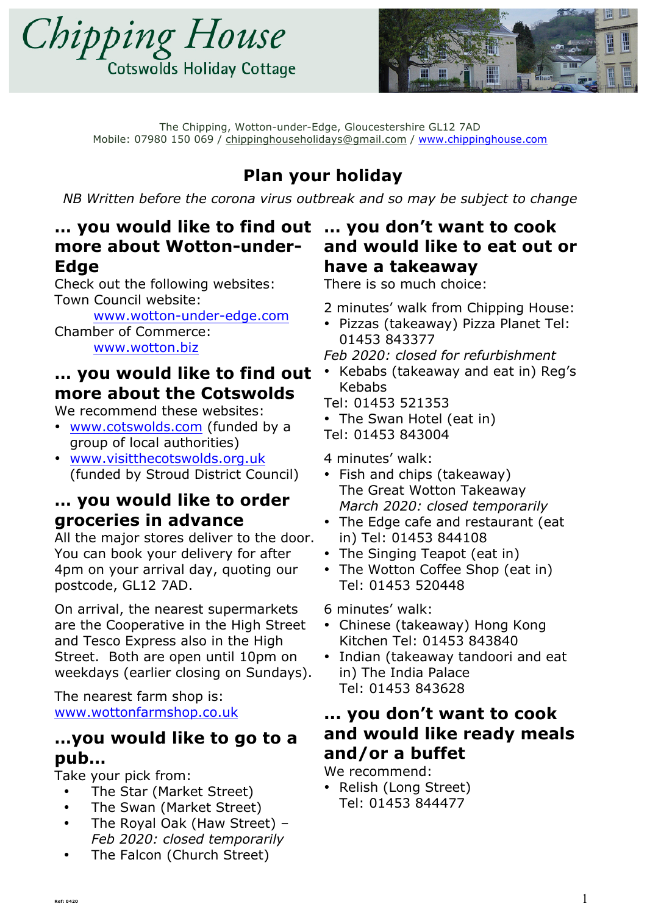



# **Plan your holiday**

*NB Written before the corona virus outbreak and so may be subject to change*

# **… you would like to find out … you don't want to cook more about Wotton-under-Edge**

Check out the following websites: Town Council website:

www.wotton-under-edge.com Chamber of Commerce: www.wotton.biz

# **… you would like to find out more about the Cotswolds**

We recommend these websites:

- www.cotswolds.com (funded by a group of local authorities)
- www.visitthecotswolds.org.uk (funded by Stroud District Council)

# **… you would like to order groceries in advance**

All the major stores deliver to the door. You can book your delivery for after 4pm on your arrival day, quoting our postcode, GL12 7AD.

On arrival, the nearest supermarkets are the Cooperative in the High Street and Tesco Express also in the High Street. Both are open until 10pm on weekdays (earlier closing on Sundays).

The nearest farm shop is: www.wottonfarmshop.co.uk

# **…you would like to go to a pub…**

Take your pick from:

- The Star (Market Street)
- The Swan (Market Street)
- The Royal Oak (Haw Street) *Feb 2020: closed temporarily*
- The Falcon (Church Street)

# **and would like to eat out or have a takeaway**

There is so much choice:

- 2 minutes' walk from Chipping House:
- Pizzas (takeaway) Pizza Planet Tel: 01453 843377
- *Feb 2020: closed for refurbishment*
- Kebabs (takeaway and eat in) Reg's Kebabs

Tel: 01453 521353

• The Swan Hotel (eat in)

Tel: 01453 843004

#### 4 minutes' walk:

- Fish and chips (takeaway) The Great Wotton Takeaway *March 2020: closed temporarily*
- The Edge cafe and restaurant (eat in) Tel: 01453 844108
- The Singing Teapot (eat in)
- The Wotton Coffee Shop (eat in) Tel: 01453 520448
- 6 minutes' walk:
- Chinese (takeaway) Hong Kong Kitchen Tel: 01453 843840
- Indian (takeaway tandoori and eat in) The India Palace Tel: 01453 843628

# **... you don't want to cook and would like ready meals and/or a buffet**

We recommend:

• Relish (Long Street) Tel: 01453 844477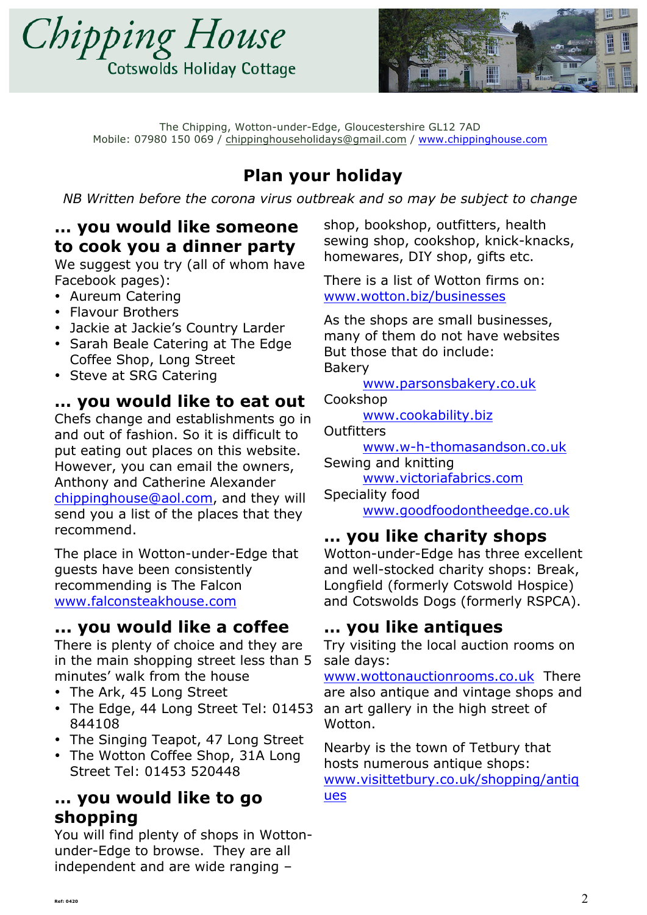



# **Plan your holiday**

*NB Written before the corona virus outbreak and so may be subject to change*

# **… you would like someone to cook you a dinner party**

We suggest you try (all of whom have Facebook pages):

- Aureum Catering
- Flavour Brothers
- Jackie at Jackie's Country Larder
- Sarah Beale Catering at The Edge Coffee Shop, Long Street
- Steve at SRG Catering

## **… you would like to eat out**

Chefs change and establishments go in and out of fashion. So it is difficult to put eating out places on this website. However, you can email the owners, Anthony and Catherine Alexander chippinghouse@aol.com, and they will send you a list of the places that they recommend.

The place in Wotton-under-Edge that guests have been consistently recommending is The Falcon www.falconsteakhouse.com

## **... you would like a coffee**

There is plenty of choice and they are in the main shopping street less than 5 minutes' walk from the house

- The Ark, 45 Long Street
- The Edge, 44 Long Street Tel: 01453 844108
- The Singing Teapot, 47 Long Street
- The Wotton Coffee Shop, 31A Long Street Tel: 01453 520448

# **… you would like to go shopping**

You will find plenty of shops in Wottonunder-Edge to browse. They are all independent and are wide ranging –

shop, bookshop, outfitters, health sewing shop, cookshop, knick-knacks, homewares, DIY shop, gifts etc.

There is a list of Wotton firms on: www.wotton.biz/businesses

As the shops are small businesses, many of them do not have websites But those that do include: Bakery

www.parsonsbakery.co.uk

Cookshop

www.cookability.biz

**Outfitters** 

www.w-h-thomasandson.co.uk Sewing and knitting

www.victoriafabrics.com

Speciality food www.goodfoodontheedge.co.uk

# **… you like charity shops**

Wotton-under-Edge has three excellent and well-stocked charity shops: Break, Longfield (formerly Cotswold Hospice) and Cotswolds Dogs (formerly RSPCA).

# **… you like antiques**

Try visiting the local auction rooms on sale days:

www.wottonauctionrooms.co.uk There are also antique and vintage shops and an art gallery in the high street of Wotton.

Nearby is the town of Tetbury that hosts numerous antique shops: www.visittetbury.co.uk/shopping/antiq ues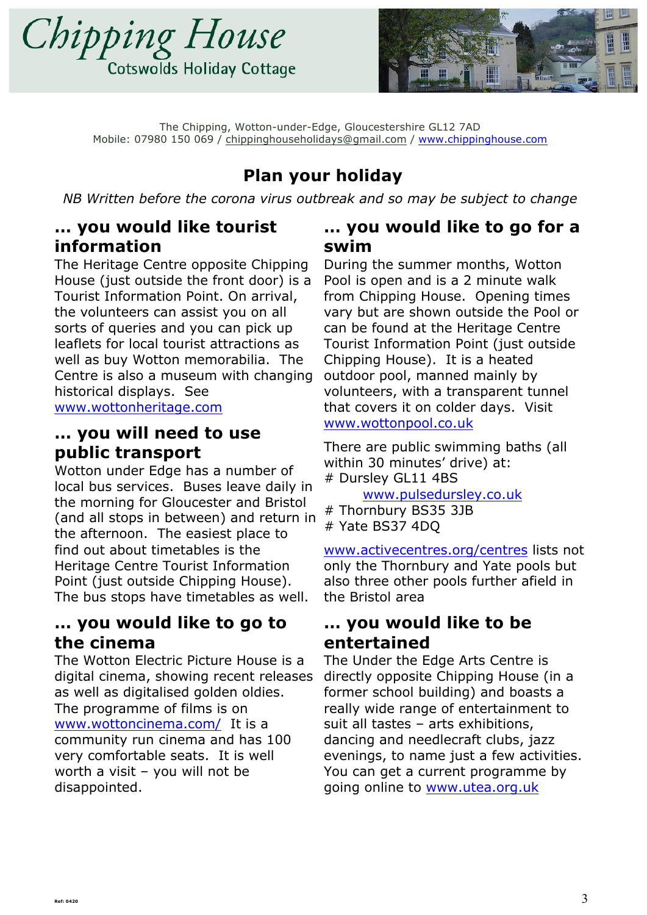![](_page_2_Picture_0.jpeg)

![](_page_2_Picture_1.jpeg)

# **Plan your holiday**

*NB Written before the corona virus outbreak and so may be subject to change*

## **… you would like tourist information**

The Heritage Centre opposite Chipping House (just outside the front door) is a Tourist Information Point. On arrival, the volunteers can assist you on all sorts of queries and you can pick up leaflets for local tourist attractions as well as buy Wotton memorabilia. The Centre is also a museum with changing historical displays. See www.wottonheritage.com

### **… you will need to use public transport**

Wotton under Edge has a number of local bus services. Buses leave daily in the morning for Gloucester and Bristol (and all stops in between) and return in the afternoon. The easiest place to find out about timetables is the Heritage Centre Tourist Information Point (just outside Chipping House). The bus stops have timetables as well.

## **… you would like to go to the cinema**

The Wotton Electric Picture House is a digital cinema, showing recent releases as well as digitalised golden oldies. The programme of films is on www.wottoncinema.com/ It is a community run cinema and has 100 very comfortable seats. It is well worth a visit – you will not be disappointed.

### **… you would like to go for a swim**

During the summer months, Wotton Pool is open and is a 2 minute walk from Chipping House. Opening times vary but are shown outside the Pool or can be found at the Heritage Centre Tourist Information Point (just outside Chipping House). It is a heated outdoor pool, manned mainly by volunteers, with a transparent tunnel that covers it on colder days. Visit www.wottonpool.co.uk

There are public swimming baths (all within 30 minutes' drive) at: # Dursley GL11 4BS

www.pulsedursley.co.uk

# Thornbury BS35 3JB # Yate BS37 4DQ

www.activecentres.org/centres lists not only the Thornbury and Yate pools but also three other pools further afield in the Bristol area

## **… you would like to be entertained**

The Under the Edge Arts Centre is directly opposite Chipping House (in a former school building) and boasts a really wide range of entertainment to suit all tastes – arts exhibitions, dancing and needlecraft clubs, jazz evenings, to name just a few activities. You can get a current programme by going online to www.utea.org.uk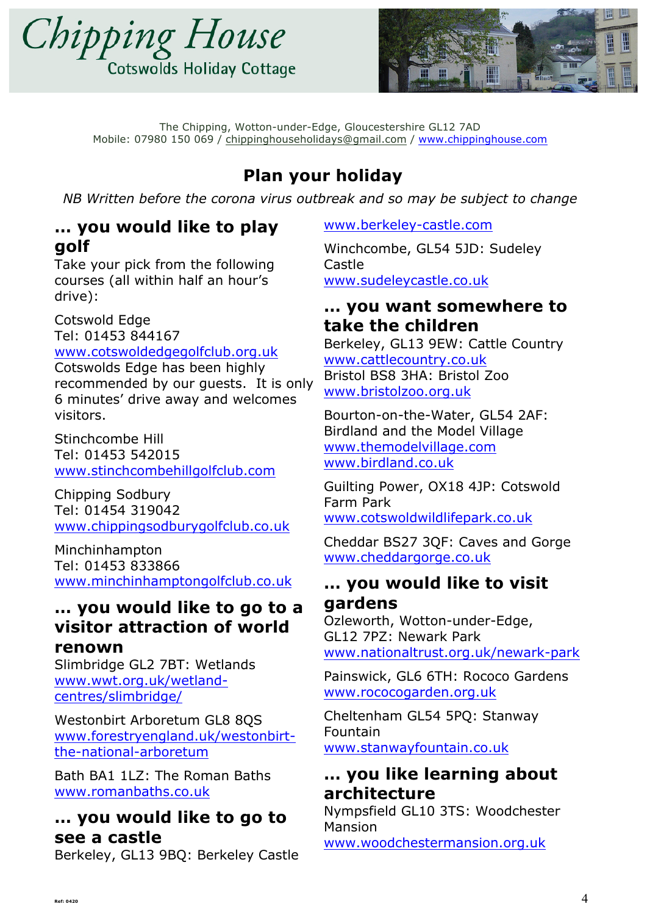![](_page_3_Picture_0.jpeg)

![](_page_3_Picture_1.jpeg)

# **Plan your holiday**

*NB Written before the corona virus outbreak and so may be subject to change*

## **… you would like to play golf**

Take your pick from the following courses (all within half an hour's drive):

Cotswold Edge Tel: 01453 844167

www.cotswoldedgegolfclub.org.uk

Cotswolds Edge has been highly recommended by our guests. It is only 6 minutes' drive away and welcomes visitors.

Stinchcombe Hill Tel: 01453 542015 www.stinchcombehillgolfclub.com

Chipping Sodbury Tel: 01454 319042 www.chippingsodburygolfclub.co.uk

Minchinhampton Tel: 01453 833866 www.minchinhamptongolfclub.co.uk

# **… you would like to go to a visitor attraction of world**

#### **renown**

Slimbridge GL2 7BT: Wetlands www.wwt.org.uk/wetlandcentres/slimbridge/

Westonbirt Arboretum GL8 8QS www.forestryengland.uk/westonbirtthe-national-arboretum

Bath BA1 1LZ: The Roman Baths www.romanbaths.co.uk

# **… you would like to go to see a castle**

Berkeley, GL13 9BQ: Berkeley Castle

www.berkeley-castle.com

Winchcombe, GL54 5JD: Sudeley Castle www.sudeleycastle.co.uk

## **… you want somewhere to take the children**

Berkeley, GL13 9EW: Cattle Country www.cattlecountry.co.uk Bristol BS8 3HA: Bristol Zoo www.bristolzoo.org.uk

Bourton-on-the-Water, GL54 2AF: Birdland and the Model Village www.themodelvillage.com www.birdland.co.uk

Guilting Power, OX18 4JP: Cotswold Farm Park www.cotswoldwildlifepark.co.uk

Cheddar BS27 3QF: Caves and Gorge www.cheddargorge.co.uk

## **… you would like to visit gardens**

Ozleworth, Wotton-under-Edge, GL12 7PZ: Newark Park www.nationaltrust.org.uk/newark-park

Painswick, GL6 6TH: Rococo Gardens www.rococogarden.org.uk

Cheltenham GL54 5PQ: Stanway Fountain www.stanwayfountain.co.uk

# **… you like learning about architecture**

Nympsfield GL10 3TS: Woodchester Mansion

www.woodchestermansion.org.uk